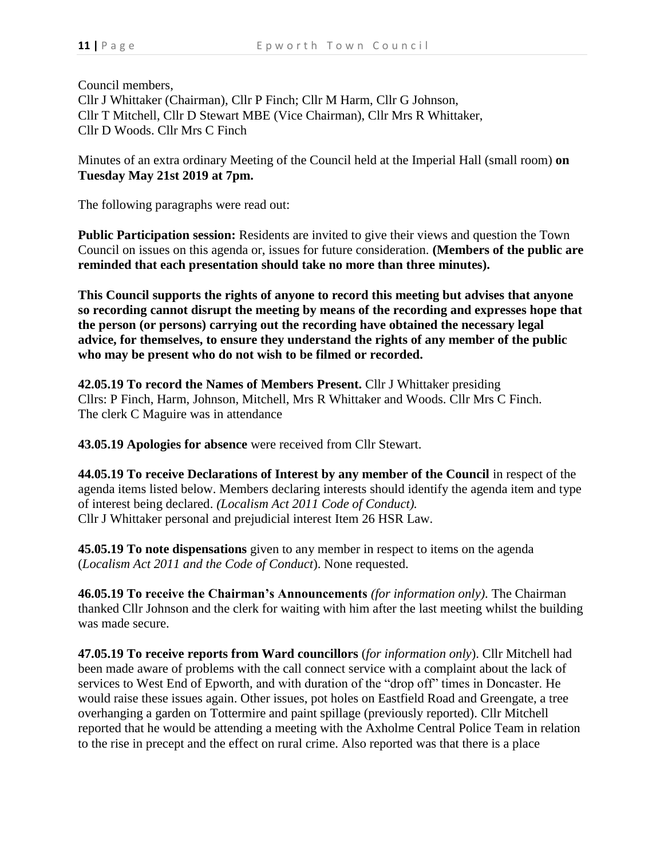Council members, Cllr J Whittaker (Chairman), Cllr P Finch; Cllr M Harm, Cllr G Johnson, Cllr T Mitchell, Cllr D Stewart MBE (Vice Chairman), Cllr Mrs R Whittaker, Cllr D Woods. Cllr Mrs C Finch

Minutes of an extra ordinary Meeting of the Council held at the Imperial Hall (small room) **on Tuesday May 21st 2019 at 7pm.**

The following paragraphs were read out:

**Public Participation session:** Residents are invited to give their views and question the Town Council on issues on this agenda or, issues for future consideration. **(Members of the public are reminded that each presentation should take no more than three minutes).**

**This Council supports the rights of anyone to record this meeting but advises that anyone so recording cannot disrupt the meeting by means of the recording and expresses hope that the person (or persons) carrying out the recording have obtained the necessary legal advice, for themselves, to ensure they understand the rights of any member of the public who may be present who do not wish to be filmed or recorded.**

**42.05.19 To record the Names of Members Present.** Cllr J Whittaker presiding Cllrs: P Finch, Harm, Johnson, Mitchell, Mrs R Whittaker and Woods. Cllr Mrs C Finch. The clerk C Maguire was in attendance

**43.05.19 Apologies for absence** were received from Cllr Stewart.

**44.05.19 To receive Declarations of Interest by any member of the Council** in respect of the agenda items listed below. Members declaring interests should identify the agenda item and type of interest being declared. *(Localism Act 2011 Code of Conduct).* Cllr J Whittaker personal and prejudicial interest Item 26 HSR Law.

**45.05.19 To note dispensations** given to any member in respect to items on the agenda (*Localism Act 2011 and the Code of Conduct*). None requested.

**46.05.19 To receive the Chairman's Announcements** *(for information only)*. The Chairman thanked Cllr Johnson and the clerk for waiting with him after the last meeting whilst the building was made secure.

**47.05.19 To receive reports from Ward councillors** (*for information only*). Cllr Mitchell had been made aware of problems with the call connect service with a complaint about the lack of services to West End of Epworth, and with duration of the "drop off" times in Doncaster. He would raise these issues again. Other issues, pot holes on Eastfield Road and Greengate, a tree overhanging a garden on Tottermire and paint spillage (previously reported). Cllr Mitchell reported that he would be attending a meeting with the Axholme Central Police Team in relation to the rise in precept and the effect on rural crime. Also reported was that there is a place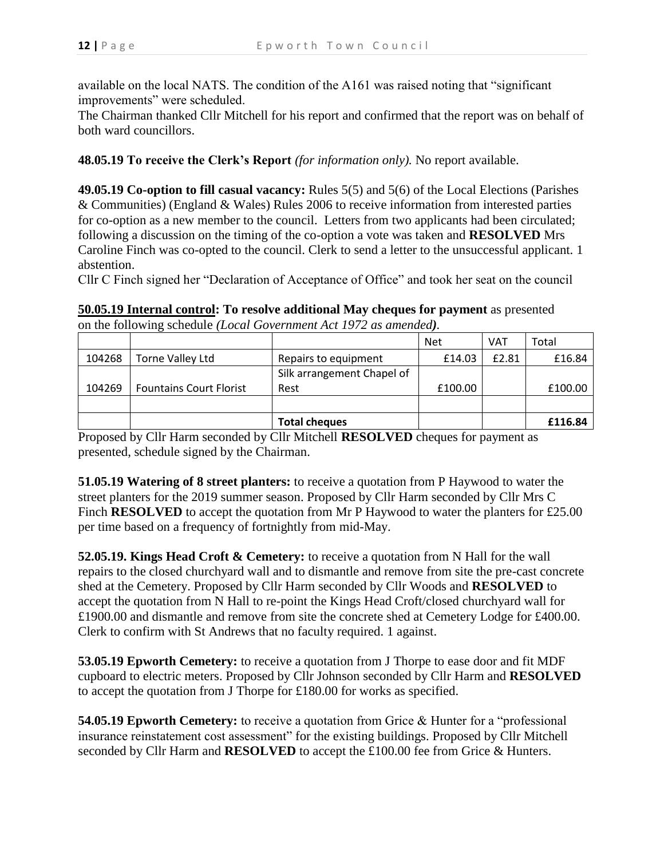available on the local NATS. The condition of the A161 was raised noting that "significant improvements" were scheduled.

The Chairman thanked Cllr Mitchell for his report and confirmed that the report was on behalf of both ward councillors.

## **48.05.19 To receive the Clerk's Report** *(for information only).* No report available.

**49.05.19 Co-option to fill casual vacancy:** Rules 5(5) and 5(6) of the Local Elections (Parishes & Communities) (England & Wales) Rules 2006 to receive information from interested parties for co-option as a new member to the council. Letters from two applicants had been circulated; following a discussion on the timing of the co-option a vote was taken and **RESOLVED** Mrs Caroline Finch was co-opted to the council. Clerk to send a letter to the unsuccessful applicant. 1 abstention.

Cllr C Finch signed her "Declaration of Acceptance of Office" and took her seat on the council

**50.05.19 Internal control: To resolve additional May cheques for payment** as presented on the following schedule *(Local Government Act 1972 as amended).*

|        |                                |                            | <b>Net</b> | VAT   | Total   |
|--------|--------------------------------|----------------------------|------------|-------|---------|
| 104268 | Torne Valley Ltd               | Repairs to equipment       | £14.03     | £2.81 | £16.84  |
|        |                                | Silk arrangement Chapel of |            |       |         |
| 104269 | <b>Fountains Court Florist</b> | Rest                       | £100.00    |       | £100.00 |
|        |                                |                            |            |       |         |
|        |                                | <b>Total cheques</b>       |            |       | £116.84 |

Proposed by Cllr Harm seconded by Cllr Mitchell **RESOLVED** cheques for payment as presented, schedule signed by the Chairman.

**51.05.19 Watering of 8 street planters:** to receive a quotation from P Haywood to water the street planters for the 2019 summer season. Proposed by Cllr Harm seconded by Cllr Mrs C Finch **RESOLVED** to accept the quotation from Mr P Haywood to water the planters for £25.00 per time based on a frequency of fortnightly from mid-May.

**52.05.19. Kings Head Croft & Cemetery:** to receive a quotation from N Hall for the wall repairs to the closed churchyard wall and to dismantle and remove from site the pre-cast concrete shed at the Cemetery. Proposed by Cllr Harm seconded by Cllr Woods and **RESOLVED** to accept the quotation from N Hall to re-point the Kings Head Croft/closed churchyard wall for £1900.00 and dismantle and remove from site the concrete shed at Cemetery Lodge for £400.00. Clerk to confirm with St Andrews that no faculty required. 1 against.

**53.05.19 Epworth Cemetery:** to receive a quotation from J Thorpe to ease door and fit MDF cupboard to electric meters. Proposed by Cllr Johnson seconded by Cllr Harm and **RESOLVED** to accept the quotation from J Thorpe for £180.00 for works as specified.

**54.05.19 Epworth Cemetery:** to receive a quotation from Grice & Hunter for a "professional insurance reinstatement cost assessment" for the existing buildings. Proposed by Cllr Mitchell seconded by Cllr Harm and **RESOLVED** to accept the £100.00 fee from Grice & Hunters.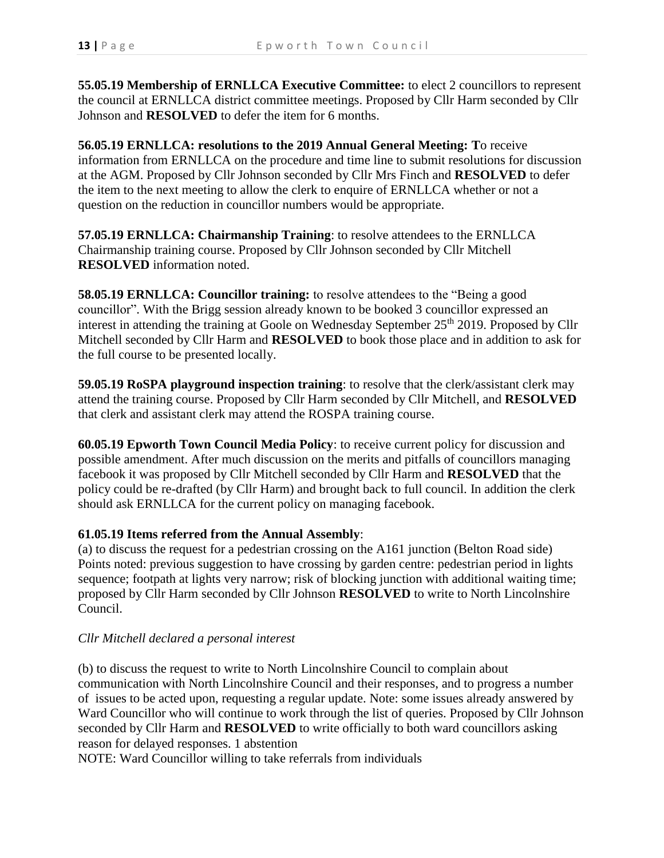**55.05.19 Membership of ERNLLCA Executive Committee:** to elect 2 councillors to represent the council at ERNLLCA district committee meetings. Proposed by Cllr Harm seconded by Cllr Johnson and **RESOLVED** to defer the item for 6 months.

**56.05.19 ERNLLCA: resolutions to the 2019 Annual General Meeting: T**o receive information from ERNLLCA on the procedure and time line to submit resolutions for discussion at the AGM. Proposed by Cllr Johnson seconded by Cllr Mrs Finch and **RESOLVED** to defer the item to the next meeting to allow the clerk to enquire of ERNLLCA whether or not a question on the reduction in councillor numbers would be appropriate.

**57.05.19 ERNLLCA: Chairmanship Training**: to resolve attendees to the ERNLLCA Chairmanship training course. Proposed by Cllr Johnson seconded by Cllr Mitchell **RESOLVED** information noted.

**58.05.19 ERNLLCA: Councillor training:** to resolve attendees to the "Being a good councillor". With the Brigg session already known to be booked 3 councillor expressed an interest in attending the training at Goole on Wednesday September 25<sup>th</sup> 2019. Proposed by Cllr Mitchell seconded by Cllr Harm and **RESOLVED** to book those place and in addition to ask for the full course to be presented locally.

**59.05.19 RoSPA playground inspection training**: to resolve that the clerk/assistant clerk may attend the training course. Proposed by Cllr Harm seconded by Cllr Mitchell, and **RESOLVED** that clerk and assistant clerk may attend the ROSPA training course.

**60.05.19 Epworth Town Council Media Policy**: to receive current policy for discussion and possible amendment. After much discussion on the merits and pitfalls of councillors managing facebook it was proposed by Cllr Mitchell seconded by Cllr Harm and **RESOLVED** that the policy could be re-drafted (by Cllr Harm) and brought back to full council. In addition the clerk should ask ERNLLCA for the current policy on managing facebook.

## **61.05.19 Items referred from the Annual Assembly**:

(a) to discuss the request for a pedestrian crossing on the A161 junction (Belton Road side) Points noted: previous suggestion to have crossing by garden centre: pedestrian period in lights sequence; footpath at lights very narrow; risk of blocking junction with additional waiting time; proposed by Cllr Harm seconded by Cllr Johnson **RESOLVED** to write to North Lincolnshire Council.

## *Cllr Mitchell declared a personal interest*

(b) to discuss the request to write to North Lincolnshire Council to complain about communication with North Lincolnshire Council and their responses, and to progress a number of issues to be acted upon, requesting a regular update. Note: some issues already answered by Ward Councillor who will continue to work through the list of queries. Proposed by Cllr Johnson seconded by Cllr Harm and **RESOLVED** to write officially to both ward councillors asking reason for delayed responses. 1 abstention

NOTE: Ward Councillor willing to take referrals from individuals